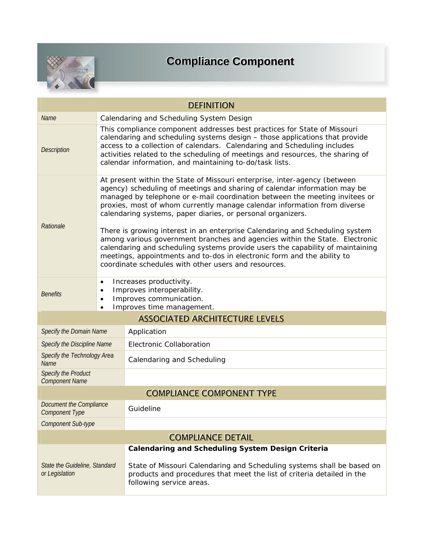

## **Compliance Component**

| <b>DEFINITION</b>                                |                                                                                                                                                                                                                                                                                                                                                                                  |                                                                                                                                                                                                                                                                                                                                                                                                                                                                                                                                                                                                                                                                                                                                                                      |  |  |  |
|--------------------------------------------------|----------------------------------------------------------------------------------------------------------------------------------------------------------------------------------------------------------------------------------------------------------------------------------------------------------------------------------------------------------------------------------|----------------------------------------------------------------------------------------------------------------------------------------------------------------------------------------------------------------------------------------------------------------------------------------------------------------------------------------------------------------------------------------------------------------------------------------------------------------------------------------------------------------------------------------------------------------------------------------------------------------------------------------------------------------------------------------------------------------------------------------------------------------------|--|--|--|
| Name                                             | Calendaring and Scheduling System Design                                                                                                                                                                                                                                                                                                                                         |                                                                                                                                                                                                                                                                                                                                                                                                                                                                                                                                                                                                                                                                                                                                                                      |  |  |  |
| <b>Description</b>                               | This compliance component addresses best practices for State of Missouri<br>calendaring and scheduling systems design - those applications that provide<br>access to a collection of calendars. Calendaring and Scheduling includes<br>activities related to the scheduling of meetings and resources, the sharing of<br>calendar information, and maintaining to-do/task lists. |                                                                                                                                                                                                                                                                                                                                                                                                                                                                                                                                                                                                                                                                                                                                                                      |  |  |  |
| Rationale                                        |                                                                                                                                                                                                                                                                                                                                                                                  | At present within the State of Missouri enterprise, inter-agency (between<br>agency) scheduling of meetings and sharing of calendar information may be<br>managed by telephone or e-mail coordination between the meeting invitees or<br>proxies, most of whom currently manage calendar information from diverse<br>calendaring systems, paper diaries, or personal organizers.<br>There is growing interest in an enterprise Calendaring and Scheduling system<br>among various government branches and agencies within the State. Electronic<br>calendaring and scheduling systems provide users the capability of maintaining<br>meetings, appointments and to-dos in electronic form and the ability to<br>coordinate schedules with other users and resources. |  |  |  |
| Benefits                                         | Increases productivity.<br>$\bullet$<br>Improves interoperability.<br>$\bullet$<br>Improves communication.<br>$\bullet$<br>Improves time management.<br>$\bullet$                                                                                                                                                                                                                |                                                                                                                                                                                                                                                                                                                                                                                                                                                                                                                                                                                                                                                                                                                                                                      |  |  |  |
|                                                  |                                                                                                                                                                                                                                                                                                                                                                                  | <b>ASSOCIATED ARCHITECTURE LEVELS</b>                                                                                                                                                                                                                                                                                                                                                                                                                                                                                                                                                                                                                                                                                                                                |  |  |  |
| Specify the Domain Name                          |                                                                                                                                                                                                                                                                                                                                                                                  | Application                                                                                                                                                                                                                                                                                                                                                                                                                                                                                                                                                                                                                                                                                                                                                          |  |  |  |
| Specify the Discipline Name                      |                                                                                                                                                                                                                                                                                                                                                                                  | <b>Electronic Collaboration</b>                                                                                                                                                                                                                                                                                                                                                                                                                                                                                                                                                                                                                                                                                                                                      |  |  |  |
| Specify the Technology Area<br><b>Name</b>       |                                                                                                                                                                                                                                                                                                                                                                                  | Calendaring and Scheduling                                                                                                                                                                                                                                                                                                                                                                                                                                                                                                                                                                                                                                                                                                                                           |  |  |  |
| Specify the Product<br><b>Component Name</b>     |                                                                                                                                                                                                                                                                                                                                                                                  |                                                                                                                                                                                                                                                                                                                                                                                                                                                                                                                                                                                                                                                                                                                                                                      |  |  |  |
|                                                  |                                                                                                                                                                                                                                                                                                                                                                                  | <b>COMPLIANCE COMPONENT TYPE</b>                                                                                                                                                                                                                                                                                                                                                                                                                                                                                                                                                                                                                                                                                                                                     |  |  |  |
| Document the Compliance<br><b>Component Type</b> |                                                                                                                                                                                                                                                                                                                                                                                  | Guideline                                                                                                                                                                                                                                                                                                                                                                                                                                                                                                                                                                                                                                                                                                                                                            |  |  |  |
| <b>Component Sub-type</b>                        |                                                                                                                                                                                                                                                                                                                                                                                  |                                                                                                                                                                                                                                                                                                                                                                                                                                                                                                                                                                                                                                                                                                                                                                      |  |  |  |
| <b>COMPLIANCE DETAIL</b>                         |                                                                                                                                                                                                                                                                                                                                                                                  |                                                                                                                                                                                                                                                                                                                                                                                                                                                                                                                                                                                                                                                                                                                                                                      |  |  |  |
|                                                  |                                                                                                                                                                                                                                                                                                                                                                                  | <b>Calendaring and Scheduling System Design Criteria</b>                                                                                                                                                                                                                                                                                                                                                                                                                                                                                                                                                                                                                                                                                                             |  |  |  |
| State the Guideline, Standard<br>or Legislation  |                                                                                                                                                                                                                                                                                                                                                                                  | State of Missouri Calendaring and Scheduling systems shall be based on<br>products and procedures that meet the list of criteria detailed in the<br>following service areas.                                                                                                                                                                                                                                                                                                                                                                                                                                                                                                                                                                                         |  |  |  |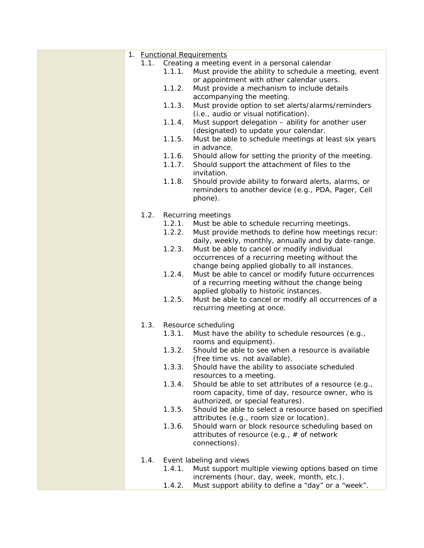|      |        | 1. <b>Functional Requirements</b>                      |
|------|--------|--------------------------------------------------------|
| 1.1. |        | Creating a meeting event in a personal calendar        |
|      | 1.1.1. | Must provide the ability to schedule a meeting, event  |
|      |        |                                                        |
|      |        | or appointment with other calendar users.              |
|      | 1.1.2. | Must provide a mechanism to include details            |
|      |        | accompanying the meeting.                              |
|      | 1.1.3. | Must provide option to set alerts/alarms/reminders     |
|      |        | (i.e., audio or visual notification).                  |
|      | 1.1.4. | Must support delegation - ability for another user     |
|      |        |                                                        |
|      |        | (designated) to update your calendar.                  |
|      | 1.1.5. | Must be able to schedule meetings at least six years   |
|      |        | in advance.                                            |
|      | 1.1.6. | Should allow for setting the priority of the meeting.  |
|      | 1.1.7. | Should support the attachment of files to the          |
|      |        | invitation.                                            |
|      | 1.1.8. | Should provide ability to forward alerts, alarms, or   |
|      |        | reminders to another device (e.g., PDA, Pager, Cell    |
|      |        |                                                        |
|      |        | phone).                                                |
|      |        |                                                        |
| 1.2. |        | Recurring meetings                                     |
|      | 1.2.1. | Must be able to schedule recurring meetings.           |
|      | 1.2.2. | Must provide methods to define how meetings recur:     |
|      |        | daily, weekly, monthly, annually and by date-range.    |
|      | 1.2.3. | Must be able to cancel or modify individual            |
|      |        | occurrences of a recurring meeting without the         |
|      |        | change being applied globally to all instances.        |
|      |        |                                                        |
|      | 1.2.4. | Must be able to cancel or modify future occurrences    |
|      |        | of a recurring meeting without the change being        |
|      |        | applied globally to historic instances.                |
|      | 1.2.5. | Must be able to cancel or modify all occurrences of a  |
|      |        | recurring meeting at once.                             |
|      |        |                                                        |
| 1.3. |        | Resource scheduling                                    |
|      | 1.3.1. | Must have the ability to schedule resources (e.g.,     |
|      |        | rooms and equipment).                                  |
|      | 1.3.2. | Should be able to see when a resource is available     |
|      |        |                                                        |
|      |        | (free time vs. not available).                         |
|      | 1.3.3. | Should have the ability to associate scheduled         |
|      |        | resources to a meeting.                                |
|      | 1.3.4. | Should be able to set attributes of a resource (e.g.,  |
|      |        | room capacity, time of day, resource owner, who is     |
|      |        | authorized, or special features).                      |
|      | 1.3.5. | Should be able to select a resource based on specified |
|      |        | attributes (e.g., room size or location).              |
|      | 1.3.6. | Should warn or block resource scheduling based on      |
|      |        |                                                        |
|      |        | attributes of resource (e.g., $#$ of network           |
|      |        | connections).                                          |
|      |        |                                                        |
| 1.4. |        | Event labeling and views                               |
|      | 1.4.1. | Must support multiple viewing options based on time    |
|      |        | increments (hour, day, week, month, etc.).             |
|      | 1.4.2. | Must support ability to define a "day" or a "week".    |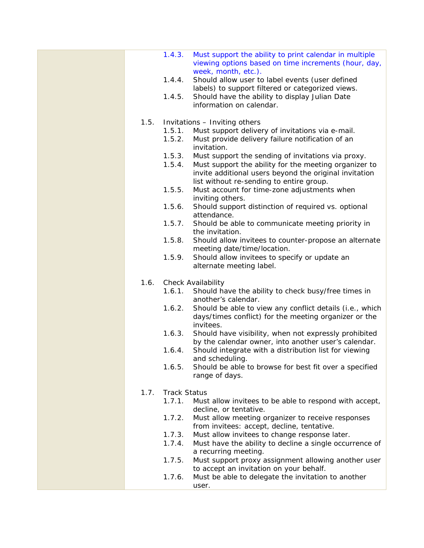|      | 1.4.3.              | Must support the ability to print calendar in multiple<br>viewing options based on time increments (hour, day,                                              |
|------|---------------------|-------------------------------------------------------------------------------------------------------------------------------------------------------------|
|      | 1.4.4.              | week, month, etc.).<br>Should allow user to label events (user defined<br>labels) to support filtered or categorized views.                                 |
|      | 1.4.5.              | Should have the ability to display Julian Date<br>information on calendar.                                                                                  |
| 1.5. |                     | Invitations - Inviting others                                                                                                                               |
|      | 1.5.1.              | Must support delivery of invitations via e-mail.                                                                                                            |
|      | 1.5.2.              | Must provide delivery failure notification of an<br>invitation.                                                                                             |
|      | 1.5.3.              | Must support the sending of invitations via proxy.                                                                                                          |
|      | 1.5.4.              | Must support the ability for the meeting organizer to<br>invite additional users beyond the original invitation<br>list without re-sending to entire group. |
|      | 1.5.5.              | Must account for time-zone adjustments when<br>inviting others.                                                                                             |
|      | 1.5.6.              | Should support distinction of required vs. optional<br>attendance.                                                                                          |
|      | 1.5.7.              | Should be able to communicate meeting priority in<br>the invitation.                                                                                        |
|      | 1.5.8.              | Should allow invitees to counter-propose an alternate<br>meeting date/time/location.                                                                        |
|      | 1.5.9.              | Should allow invitees to specify or update an<br>alternate meeting label.                                                                                   |
| 1.6. |                     | Check Availability                                                                                                                                          |
|      | 1.6.1.              | Should have the ability to check busy/free times in<br>another's calendar.                                                                                  |
|      | 1.6.2.              | Should be able to view any conflict details (i.e., which<br>days/times conflict) for the meeting organizer or the<br>invitees.                              |
|      | 1.6.3.              | Should have visibility, when not expressly prohibited<br>by the calendar owner, into another user's calendar.                                               |
|      | 1.6.4.              | Should integrate with a distribution list for viewing<br>and scheduling.                                                                                    |
|      | 1.6.5.              | Should be able to browse for best fit over a specified<br>range of days.                                                                                    |
| 1.7. | <b>Track Status</b> |                                                                                                                                                             |
|      | 1.7.1.              | Must allow invitees to be able to respond with accept,<br>decline, or tentative.                                                                            |
|      | 1.7.2.              | Must allow meeting organizer to receive responses<br>from invitees: accept, decline, tentative.                                                             |
|      | 1.7.3.              | Must allow invitees to change response later.                                                                                                               |
|      | 1.7.4.              | Must have the ability to decline a single occurrence of<br>a recurring meeting.                                                                             |
|      | 1.7.5.              | Must support proxy assignment allowing another user<br>to accept an invitation on your behalf.                                                              |
|      | 1.7.6.              | Must be able to delegate the invitation to another<br>user.                                                                                                 |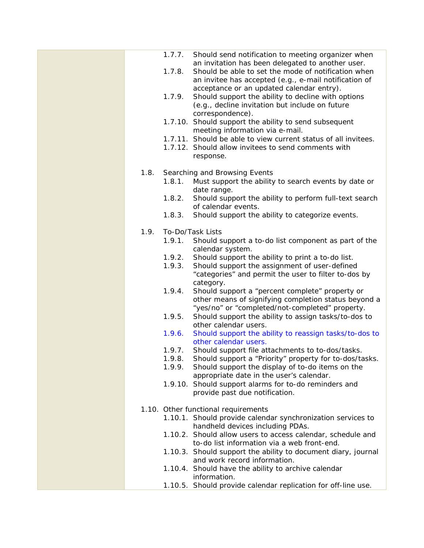|      | 1.7.7. | Should send notification to meeting organizer when<br>an invitation has been delegated to another user.      |
|------|--------|--------------------------------------------------------------------------------------------------------------|
|      | 1.7.8. | Should be able to set the mode of notification when<br>an invitee has accepted (e.g., e-mail notification of |
|      |        | acceptance or an updated calendar entry).                                                                    |
|      | 1.7.9. | Should support the ability to decline with options                                                           |
|      |        | (e.g., decline invitation but include on future                                                              |
|      |        | correspondence).<br>1.7.10. Should support the ability to send subsequent                                    |
|      |        | meeting information via e-mail.                                                                              |
|      |        | 1.7.11. Should be able to view current status of all invitees.                                               |
|      |        | 1.7.12. Should allow invitees to send comments with                                                          |
|      |        | response.                                                                                                    |
| 1.8. |        | Searching and Browsing Events                                                                                |
|      | 1.8.1. | Must support the ability to search events by date or                                                         |
|      |        | date range.                                                                                                  |
|      | 1.8.2. | Should support the ability to perform full-text search<br>of calendar events.                                |
|      | 1.8.3. | Should support the ability to categorize events.                                                             |
|      |        |                                                                                                              |
| 1.9. |        | To-Do/Task Lists                                                                                             |
|      | 1.9.1. | Should support a to-do list component as part of the                                                         |
|      | 1.9.2. | calendar system.<br>Should support the ability to print a to-do list.                                        |
|      | 1.9.3. | Should support the assignment of user-defined                                                                |
|      |        | "categories" and permit the user to filter to-dos by                                                         |
|      |        | category.                                                                                                    |
|      | 1.9.4. | Should support a "percent complete" property or<br>other means of signifying completion status beyond a      |
|      |        | "yes/no" or "completed/not-completed" property.                                                              |
|      | 1.9.5. | Should support the ability to assign tasks/to-dos to                                                         |
|      | 1.9.6. | other calendar users.<br>Should support the ability to reassign tasks/to-dos to                              |
|      |        | other calendar users.                                                                                        |
|      | 1.9.7. | Should support file attachments to to-dos/tasks.                                                             |
|      | 1.9.8. | Should support a "Priority" property for to-dos/tasks.                                                       |
|      | 1.9.9. | Should support the display of to-do items on the<br>appropriate date in the user's calendar.                 |
|      |        | 1.9.10. Should support alarms for to-do reminders and                                                        |
|      |        | provide past due notification.                                                                               |
|      |        | 1.10. Other functional requirements                                                                          |
|      |        | 1.10.1. Should provide calendar synchronization services to                                                  |
|      |        | handheld devices including PDAs.                                                                             |
|      |        | 1.10.2. Should allow users to access calendar, schedule and                                                  |
|      |        | to-do list information via a web front-end.                                                                  |
|      |        | 1.10.3. Should support the ability to document diary, journal<br>and work record information.                |
|      |        | 1.10.4. Should have the ability to archive calendar                                                          |
|      |        | information.                                                                                                 |
|      |        | 1.10.5. Should provide calendar replication for off-line use.                                                |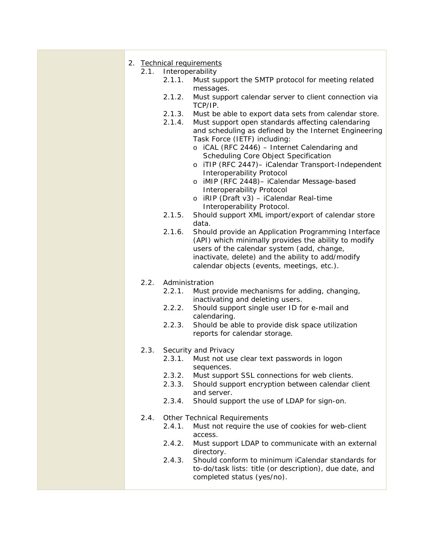|  | 2.1. | 2. Technical requirements<br>Interoperability |                                                                                                            |  |
|--|------|-----------------------------------------------|------------------------------------------------------------------------------------------------------------|--|
|  |      | 2.1.1.                                        | Must support the SMTP protocol for meeting related                                                         |  |
|  |      |                                               | messages.                                                                                                  |  |
|  |      | 2.1.2.                                        | Must support calendar server to client connection via                                                      |  |
|  |      |                                               | TCP/IP.                                                                                                    |  |
|  |      | 2.1.3.<br>2.1.4.                              | Must be able to export data sets from calendar store.<br>Must support open standards affecting calendaring |  |
|  |      |                                               | and scheduling as defined by the Internet Engineering                                                      |  |
|  |      |                                               | Task Force (IETF) including:                                                                               |  |
|  |      |                                               | o iCAL (RFC 2446) - Internet Calendaring and                                                               |  |
|  |      |                                               | Scheduling Core Object Specification                                                                       |  |
|  |      |                                               | o iTIP (RFC 2447)- iCalendar Transport-Independent<br>Interoperability Protocol                            |  |
|  |      |                                               | o iMIP (RFC 2448)- iCalendar Message-based                                                                 |  |
|  |      |                                               | Interoperability Protocol                                                                                  |  |
|  |      |                                               | o iRIP (Draft v3) - iCalendar Real-time                                                                    |  |
|  |      | 2.1.5.                                        | Interoperability Protocol.<br>Should support XML import/export of calendar store                           |  |
|  |      |                                               | data.                                                                                                      |  |
|  |      | 2.1.6.                                        | Should provide an Application Programming Interface                                                        |  |
|  |      |                                               | (API) which minimally provides the ability to modify                                                       |  |
|  |      |                                               | users of the calendar system (add, change,                                                                 |  |
|  |      |                                               | inactivate, delete) and the ability to add/modify<br>calendar objects (events, meetings, etc.).            |  |
|  |      |                                               |                                                                                                            |  |
|  | 2.2. | Administration                                |                                                                                                            |  |
|  |      | 2.2.1.                                        | Must provide mechanisms for adding, changing,                                                              |  |
|  |      | 2.2.2.                                        | inactivating and deleting users.<br>Should support single user ID for e-mail and                           |  |
|  |      |                                               | calendaring.                                                                                               |  |
|  |      | 2.2.3.                                        | Should be able to provide disk space utilization                                                           |  |
|  |      |                                               | reports for calendar storage.                                                                              |  |
|  | 2.3. |                                               | Security and Privacy                                                                                       |  |
|  |      | 2.3.1.                                        | Must not use clear text passwords in logon                                                                 |  |
|  |      |                                               | sequences.                                                                                                 |  |
|  |      | 2.3.2.                                        | Must support SSL connections for web clients.                                                              |  |
|  |      | 2.3.3.                                        | Should support encryption between calendar client<br>and server.                                           |  |
|  |      | 2.3.4.                                        | Should support the use of LDAP for sign-on.                                                                |  |
|  |      |                                               |                                                                                                            |  |
|  | 2.4. |                                               | <b>Other Technical Requirements</b>                                                                        |  |
|  |      | 2.4.1.                                        | Must not require the use of cookies for web-client<br>access.                                              |  |
|  |      | 2.4.2.                                        | Must support LDAP to communicate with an external                                                          |  |
|  |      |                                               | directory.                                                                                                 |  |
|  |      | 2.4.3.                                        | Should conform to minimum iCalendar standards for                                                          |  |
|  |      |                                               | to-do/task lists: title (or description), due date, and<br>completed status (yes/no).                      |  |
|  |      |                                               |                                                                                                            |  |